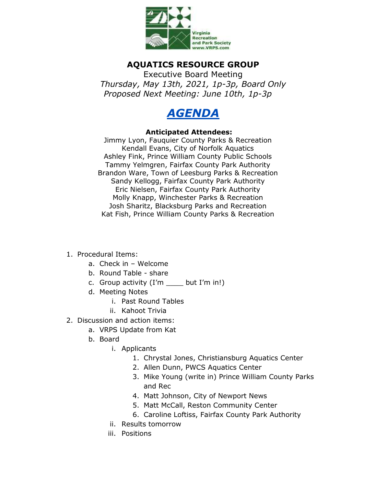

## **AQUATICS RESOURCE GROUP**

Executive Board Meeting *Thursday, May 13th, 2021, 1p-3p, Board Only Proposed Next Meeting: June 10th, 1p-3p*



## **Anticipated Attendees:**

Jimmy Lyon, Fauquier County Parks & Recreation Kendall Evans, City of Norfolk Aquatics Ashley Fink, Prince William County Public Schools Tammy Yelmgren, Fairfax County Park Authority Brandon Ware, Town of Leesburg Parks & Recreation Sandy Kellogg, Fairfax County Park Authority Eric Nielsen, Fairfax County Park Authority Molly Knapp, Winchester Parks & Recreation Josh Sharitz, Blacksburg Parks and Recreation Kat Fish, Prince William County Parks & Recreation

- 1. Procedural Items:
	- a. Check in Welcome
	- b. Round Table share
	- c. Group activity (I'm \_\_\_\_ but I'm in!)
	- d. Meeting Notes
		- i. Past Round Tables
		- ii. Kahoot Trivia
- 2. Discussion and action items:
	- a. VRPS Update from Kat
	- b. Board
		- i. Applicants
			- 1. Chrystal Jones, Christiansburg Aquatics Center
			- 2. Allen Dunn, PWCS Aquatics Center
			- 3. Mike Young (write in) Prince William County Parks and Rec
			- 4. Matt Johnson, City of Newport News
			- 5. Matt McCall, Reston Community Center
			- 6. Caroline Loftiss, Fairfax County Park Authority
		- ii. Results tomorrow
		- iii. Positions